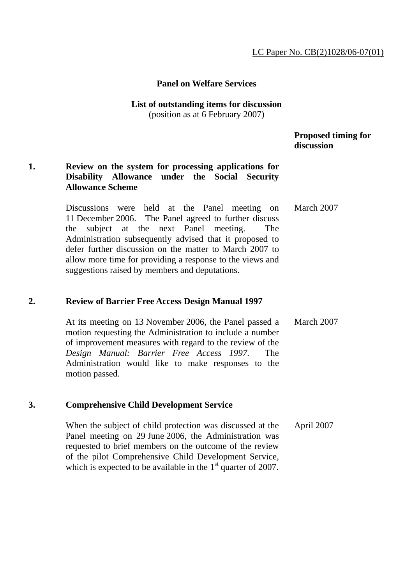### LC Paper No. CB(2)1028/06-07(01)

### **Panel on Welfare Services**

#### **List of outstanding items for discussion**  (position as at 6 February 2007)

## **Proposed timing for discussion**

## **1. Review on the system for processing applications for Disability Allowance under the Social Security Allowance Scheme**

Discussions were held at the Panel meeting on 11 December 2006. The Panel agreed to further discuss the subject at the next Panel meeting. The Administration subsequently advised that it proposed to defer further discussion on the matter to March 2007 to allow more time for providing a response to the views and suggestions raised by members and deputations. March 2007

### **2. Review of Barrier Free Access Design Manual 1997**

At its meeting on 13 November 2006, the Panel passed a motion requesting the Administration to include a number of improvement measures with regard to the review of the *Design Manual: Barrier Free Access 1997*. The Administration would like to make responses to the motion passed. March 2007

### **3. Comprehensive Child Development Service**

When the subject of child protection was discussed at the Panel meeting on 29 June 2006, the Administration was requested to brief members on the outcome of the review of the pilot Comprehensive Child Development Service, which is expected to be available in the  $1<sup>st</sup>$  quarter of 2007. April 2007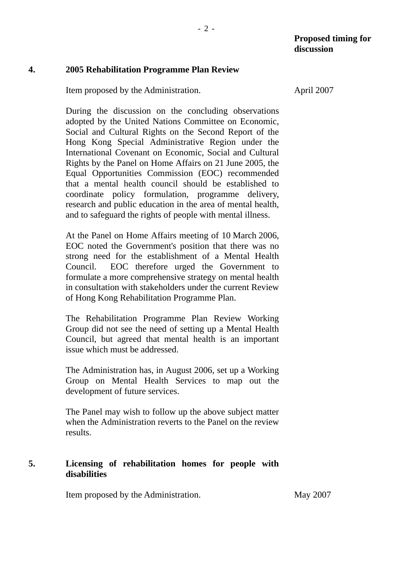### **4. 2005 Rehabilitation Programme Plan Review**

Item proposed by the Administration.

During the discussion on the concluding observations adopted by the United Nations Committee on Economic, Social and Cultural Rights on the Second Report of the Hong Kong Special Administrative Region under the International Covenant on Economic, Social and Cultural Rights by the Panel on Home Affairs on 21 June 2005, the Equal Opportunities Commission (EOC) recommended that a mental health council should be established to coordinate policy formulation, programme delivery, research and public education in the area of mental health, and to safeguard the rights of people with mental illness.

At the Panel on Home Affairs meeting of 10 March 2006, EOC noted the Government's position that there was no strong need for the establishment of a Mental Health Council. EOC therefore urged the Government to formulate a more comprehensive strategy on mental health in consultation with stakeholders under the current Review of Hong Kong Rehabilitation Programme Plan.

The Rehabilitation Programme Plan Review Working Group did not see the need of setting up a Mental Health Council, but agreed that mental health is an important issue which must be addressed.

The Administration has, in August 2006, set up a Working Group on Mental Health Services to map out the development of future services.

The Panel may wish to follow up the above subject matter when the Administration reverts to the Panel on the review results.

### **5. Licensing of rehabilitation homes for people with disabilities**

Item proposed by the Administration. May 2007

April 2007

- 2 -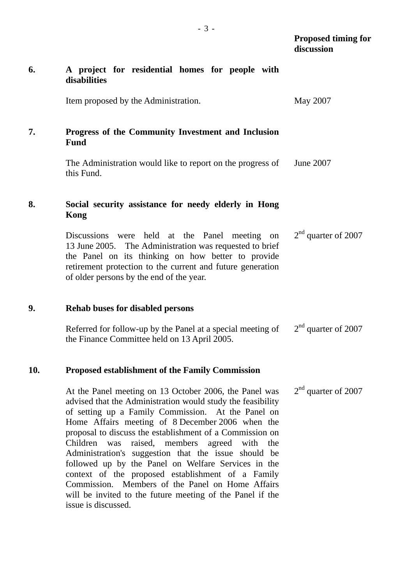|     |                                                                                                                                                                                                                                                                                                                                                                                                                                                                                                                                                                        | discussion            |
|-----|------------------------------------------------------------------------------------------------------------------------------------------------------------------------------------------------------------------------------------------------------------------------------------------------------------------------------------------------------------------------------------------------------------------------------------------------------------------------------------------------------------------------------------------------------------------------|-----------------------|
| 6.  | A project for residential homes for people with<br>disabilities                                                                                                                                                                                                                                                                                                                                                                                                                                                                                                        |                       |
|     | Item proposed by the Administration.                                                                                                                                                                                                                                                                                                                                                                                                                                                                                                                                   | May 2007              |
| 7.  | Progress of the Community Investment and Inclusion<br>Fund                                                                                                                                                                                                                                                                                                                                                                                                                                                                                                             |                       |
|     | The Administration would like to report on the progress of<br>this Fund.                                                                                                                                                                                                                                                                                                                                                                                                                                                                                               | June 2007             |
| 8.  | Social security assistance for needy elderly in Hong<br>Kong                                                                                                                                                                                                                                                                                                                                                                                                                                                                                                           |                       |
|     | Discussions were held at the Panel meeting on<br>13 June 2005. The Administration was requested to brief<br>the Panel on its thinking on how better to provide<br>retirement protection to the current and future generation<br>of older persons by the end of the year.                                                                                                                                                                                                                                                                                               | $2nd$ quarter of 2007 |
| 9.  | <b>Rehab buses for disabled persons</b>                                                                                                                                                                                                                                                                                                                                                                                                                                                                                                                                |                       |
|     | Referred for follow-up by the Panel at a special meeting of<br>the Finance Committee held on 13 April 2005.                                                                                                                                                                                                                                                                                                                                                                                                                                                            | $2nd$ quarter of 2007 |
| 10. | <b>Proposed establishment of the Family Commission</b>                                                                                                                                                                                                                                                                                                                                                                                                                                                                                                                 |                       |
|     | At the Panel meeting on 13 October 2006, the Panel was<br>advised that the Administration would study the feasibility<br>of setting up a Family Commission. At the Panel on<br>Home Affairs meeting of 8 December 2006 when the<br>proposal to discuss the establishment of a Commission on<br>Children was<br>raised, members agreed with the<br>Administration's suggestion that the issue should be<br>followed up by the Panel on Welfare Services in the<br>context of the proposed establishment of a Family<br>Commission. Members of the Panel on Home Affairs | $2nd$ quarter of 2007 |

will be invited to the future meeting of the Panel if the

issue is discussed.

 **Proposed timing for**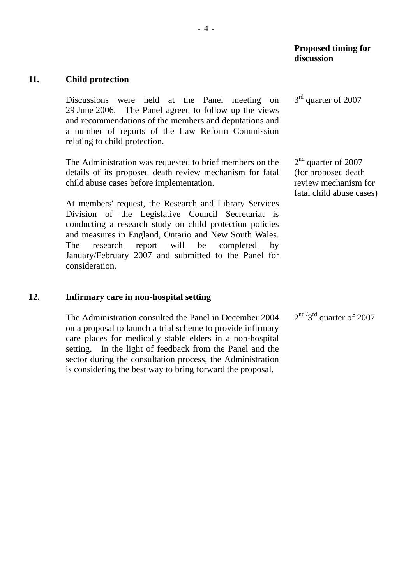3<sup>rd</sup> quarter of 2007

#### **11. Child protection**

Discussions were held at the Panel meeting on 29 June 2006. The Panel agreed to follow up the views and recommendations of the members and deputations and a number of reports of the Law Reform Commission relating to child protection.

The Administration was requested to brief members on the details of its proposed death review mechanism for fatal child abuse cases before implementation.

At members' request, the Research and Library Services Division of the Legislative Council Secretariat is conducting a research study on child protection policies and measures in England, Ontario and New South Wales. The research report will be completed by January/February 2007 and submitted to the Panel for consideration.

#### **12. Infirmary care in non-hospital setting**

The Administration consulted the Panel in December 2004 on a proposal to launch a trial scheme to provide infirmary care places for medically stable elders in a non-hospital setting. In the light of feedback from the Panel and the sector during the consultation process, the Administration is considering the best way to bring forward the proposal.  $2<sup>nd</sup> / 3<sup>rd</sup>$  quarter of 2007

2<sup>nd</sup> quarter of 2007 (for proposed death review mechanism for fatal child abuse cases)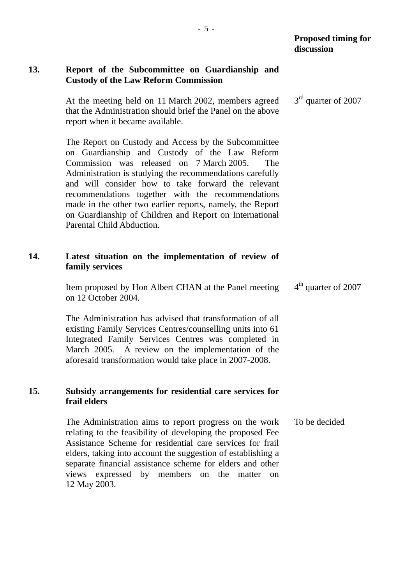# **13. Report of the Subcommittee on Guardianship and Custody of the Law Reform Commission**

At the meeting held on 11 March 2002, members agreed that the Administration should brief the Panel on the above report when it became available. 3<sup>rd</sup> quarter of 2007

The Report on Custody and Access by the Subcommittee on Guardianship and Custody of the Law Reform Commission was released on 7 March 2005. The Administration is studying the recommendations carefully and will consider how to take forward the relevant recommendations together with the recommendations made in the other two earlier reports, namely, the Report on Guardianship of Children and Report on International Parental Child Abduction.

# **14. Latest situation on the implementation of review of family services**

Item proposed by Hon Albert CHAN at the Panel meeting on 12 October 2004. 4<sup>th</sup> quarter of 2007

The Administration has advised that transformation of all existing Family Services Centres/counselling units into 61 Integrated Family Services Centres was completed in March 2005. A review on the implementation of the aforesaid transformation would take place in 2007-2008.

# **15. Subsidy arrangements for residential care services for frail elders**

The Administration aims to report progress on the work relating to the feasibility of developing the proposed Fee Assistance Scheme for residential care services for frail elders, taking into account the suggestion of establishing a separate financial assistance scheme for elders and other views expressed by members on the matter on 12 May 2003. To be decided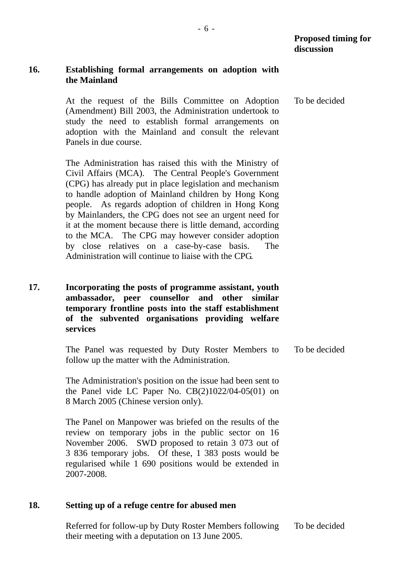# **16. Establishing formal arrangements on adoption with the Mainland**

At the request of the Bills Committee on Adoption (Amendment) Bill 2003, the Administration undertook to study the need to establish formal arrangements on adoption with the Mainland and consult the relevant Panels in due course. To be decided

The Administration has raised this with the Ministry of Civil Affairs (MCA). The Central People's Government (CPG) has already put in place legislation and mechanism to handle adoption of Mainland children by Hong Kong people. As regards adoption of children in Hong Kong by Mainlanders, the CPG does not see an urgent need for it at the moment because there is little demand, according to the MCA. The CPG may however consider adoption by close relatives on a case-by-case basis. The Administration will continue to liaise with the CPG.

**17. Incorporating the posts of programme assistant, youth ambassador, peer counsellor and other similar temporary frontline posts into the staff establishment of the subvented organisations providing welfare services** 

> The Panel was requested by Duty Roster Members to follow up the matter with the Administration. To be decided

The Administration's position on the issue had been sent to the Panel vide LC Paper No.  $CB(2)1022/04-05(01)$  on 8 March 2005 (Chinese version only).

The Panel on Manpower was briefed on the results of the review on temporary jobs in the public sector on 16 November 2006. SWD proposed to retain 3 073 out of 3 836 temporary jobs. Of these, 1 383 posts would be regularised while 1 690 positions would be extended in 2007-2008.

## **18. Setting up of a refuge centre for abused men**

Referred for follow-up by Duty Roster Members following their meeting with a deputation on 13 June 2005. To be decided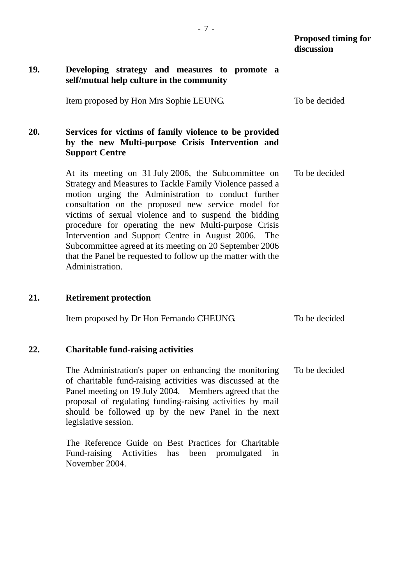### **19. Developing strategy and measures to promote a self/mutual help culture in the community**

Item proposed by Hon Mrs Sophie LEUNG. To be decided

## **20. Services for victims of family violence to be provided by the new Multi-purpose Crisis Intervention and Support Centre**

At its meeting on 31 July 2006, the Subcommittee on Strategy and Measures to Tackle Family Violence passed a motion urging the Administration to conduct further consultation on the proposed new service model for victims of sexual violence and to suspend the bidding procedure for operating the new Multi-purpose Crisis Intervention and Support Centre in August 2006. The Subcommittee agreed at its meeting on 20 September 2006 that the Panel be requested to follow up the matter with the Administration. To be decided

### **21. Retirement protection**

| Item proposed by Dr Hon Fernando CHEUNG. | To be decided |
|------------------------------------------|---------------|
|------------------------------------------|---------------|

#### **22. Charitable fund-raising activities**

The Administration's paper on enhancing the monitoring of charitable fund-raising activities was discussed at the Panel meeting on 19 July 2004. Members agreed that the proposal of regulating funding-raising activities by mail should be followed up by the new Panel in the next legislative session. To be decided

The Reference Guide on Best Practices for Charitable Fund-raising Activities has been promulgated in November 2004.